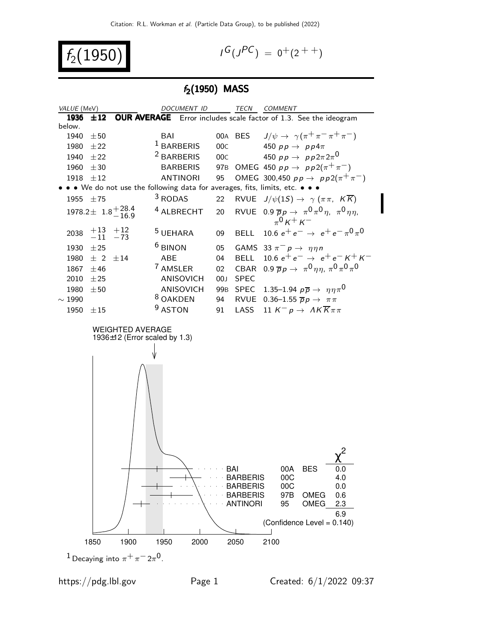$$
f_2(1950) \qquad \qquad \blacksquare
$$

$$
I^G(J^{PC}) = 0^+(2^{++})
$$

## $f_2(1950)$  MASS

| VALUE (MeV)                                  |                            |                                                          | DOCUMENT ID           |                 |                                                                                 | TECN COMMENT                                                                                                                                       |
|----------------------------------------------|----------------------------|----------------------------------------------------------|-----------------------|-----------------|---------------------------------------------------------------------------------|----------------------------------------------------------------------------------------------------------------------------------------------------|
| 1936                                         |                            |                                                          |                       |                 |                                                                                 | ±12 OUR AVERAGE Error includes scale factor of 1.3. See the ideogram                                                                               |
| below.                                       |                            |                                                          |                       |                 |                                                                                 |                                                                                                                                                    |
| 1940                                         | $\pm 50$                   |                                                          | BAI                   |                 | 00A BES                                                                         | $J/\psi \rightarrow \gamma(\pi^+\pi^-\pi^+\pi^-)$                                                                                                  |
| 1980 $\pm 22$                                |                            |                                                          | <sup>1</sup> BARBERIS | 00C             |                                                                                 | 450 $pp \rightarrow pp4\pi$                                                                                                                        |
| 1940 $\pm 22$                                |                            |                                                          | <sup>2</sup> BARBERIS | 00C             |                                                                                 | 450 $pp \rightarrow pp2\pi 2\pi^0$                                                                                                                 |
| 1960                                         | ±30                        |                                                          | <b>BARBERIS</b>       |                 |                                                                                 | 97B OMEG 450 $pp \to pp2(\pi^{+}\pi^{-})$                                                                                                          |
| 1918 $\pm 12$                                |                            |                                                          | <b>ANTINORI</b>       | 95              |                                                                                 | OMEG 300,450 $pp \to pp2(\pi^{+}\pi^{-})$                                                                                                          |
|                                              |                            |                                                          |                       |                 |                                                                                 | • • We do not use the following data for averages, fits, limits, etc. • • •                                                                        |
| 1955 $\pm 75$                                |                            |                                                          | <sup>3</sup> RODAS    | 22              |                                                                                 | RVUE $J/\psi(1S) \rightarrow \gamma (\pi \pi, K \overline{K})$                                                                                     |
|                                              |                            | $1978.2 \pm 1.8 + {28.4 \atop -16.9}$                    | <sup>4</sup> ALBRECHT | 20              |                                                                                 | RVUE 0.9 $\overline{p}p \rightarrow \pi^0 \pi^0 \eta$ , $\pi^0 \eta \eta$ ,<br>$_{\pi}0_{K}$ + $_{K}$ -                                            |
| 2038                                         | $+13$ $+12$<br>$-11$ $-73$ |                                                          | <sup>5</sup> UEHARA   | 09              |                                                                                 | BELL 10.6 $e^+e^- \rightarrow e^+e^- \pi^0 \pi^0$                                                                                                  |
| 1930                                         | ±25                        |                                                          | <sup>6</sup> BINON    | 05              |                                                                                 | GAMS 33 $\pi^- p \rightarrow \eta \eta n$                                                                                                          |
|                                              | 1980 $\pm$ 2 $\pm$ 14      |                                                          | ABE                   | 04              |                                                                                 | BELL 10.6 $e^+e^- \rightarrow e^+e^ K^+K^-$                                                                                                        |
| 1867                                         | $\pm 46$                   |                                                          | 7 AMSLER              | $02\,$          |                                                                                 | CBAR 0.9 $\overline{p}p \rightarrow \pi^0 \eta \eta$ , $\pi^0 \pi^0 \pi^0$                                                                         |
| 2010                                         | ±25                        |                                                          | ANISOVICH             | 00 <sub>J</sub> | <b>SPEC</b>                                                                     |                                                                                                                                                    |
| 1980                                         | ±50                        |                                                          | ANISOVICH             | 99 <sub>B</sub> |                                                                                 | SPEC 1.35-1.94 $p\overline{p} \rightarrow \eta \eta \pi^0$                                                                                         |
| $\sim 1990$                                  |                            |                                                          | <sup>8</sup> OAKDEN   | 94              |                                                                                 | RVUE 0.36-1.55 $\overline{p}p \rightarrow \pi \pi$                                                                                                 |
| 1950                                         | ±15                        |                                                          | <sup>9</sup> ASTON    | 91              | LASS                                                                            | 11 $K^- p \rightarrow AK \overline{K} \pi \pi$                                                                                                     |
|                                              |                            | <b>WEIGHTED AVERAGE</b><br>1936±12 (Error scaled by 1.3) |                       |                 | BAI<br><b>BARBERIS</b><br><b>BARBERIS</b><br><b>BARBERIS</b><br><b>ANTINORI</b> | 00A<br><b>BES</b><br>v.v<br>00C<br>4.0<br>00C<br>0.0<br>97B<br><b>OMEG</b><br>0.6<br><b>OMEG</b><br>95<br>2.3<br>6.9<br>(Confidence Level = 0.140) |
| 1900<br>2100<br>1850<br>2050<br>1950<br>2000 |                            |                                                          |                       |                 |                                                                                 |                                                                                                                                                    |
|                                              |                            | <sup>1</sup> Decaying into $\pi^+\pi^-2\pi^0$ .          |                       |                 |                                                                                 |                                                                                                                                                    |

I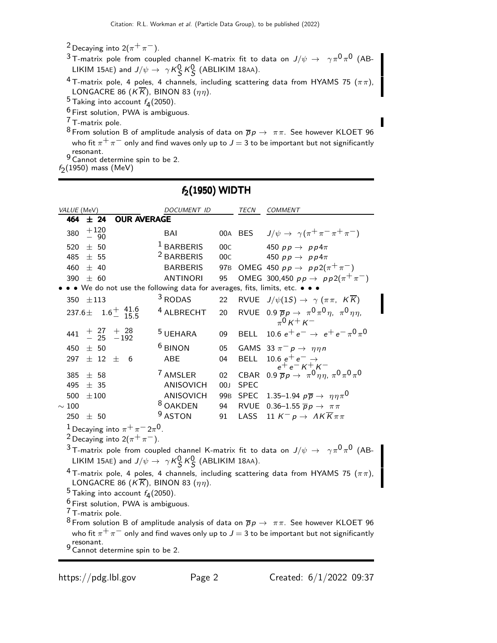- <sup>2</sup> Decaying into  $2(\pi^+\pi^-)$ .
- $^3$ T-matrix pole from coupled channel K-matrix fit to data on  $J/\psi\,\rightarrow\,\,\,\gamma\pi^0\pi^0$  (AB-LIKIM 15AE) and  $J/\psi \rightarrow \gamma K_S^0 K_S^0$  (ABLIKIM 18AA).
- $\frac{4}{1}$  T-matrix pole, 4 poles, 4 channels, including scattering data from HYAMS 75 ( $\pi\pi$ ), LONGACRE 86 (KK), BINON 83 ( $\eta\eta$ ).
- $^5$  Taking into account  $f_4(2050)$ .
- $6$  First solution, PWA is ambiguous.
- 7 T-matrix pole.
- <sup>8</sup> From solution B of amplitude analysis of data on  $\overline{p}p \to \pi \pi$ . See however KLOET 96 who fit  $\pi^+ \pi^-$  only and find waves only up to  $J = 3$  to be important but not significantly 9 resonant.<br><sup>9</sup> Cannot determine spin to be 2.
- 
- $f_2(1950)$  mass (MeV)

## $f_2(1950)$  WIDTH

| VALUE (MeV)                                                                                                                                                                                                                                                                                  |  |                 |                                       |  | DOCUMENT ID                             |                       | <b>TECN</b>                | <b>COMMENT</b>                                                                                                         |
|----------------------------------------------------------------------------------------------------------------------------------------------------------------------------------------------------------------------------------------------------------------------------------------------|--|-----------------|---------------------------------------|--|-----------------------------------------|-----------------------|----------------------------|------------------------------------------------------------------------------------------------------------------------|
| 464                                                                                                                                                                                                                                                                                          |  | ± 24            | <b>OUR AVERAGE</b>                    |  |                                         |                       |                            |                                                                                                                        |
| 380                                                                                                                                                                                                                                                                                          |  | $^{+120}_{-90}$ |                                       |  | <b>BAI</b>                              |                       | 00A BES                    | $J/\psi \rightarrow \gamma(\pi^+\pi^-\pi^+\pi^-)$                                                                      |
| 520                                                                                                                                                                                                                                                                                          |  | ± 50            |                                       |  | <sup>1</sup> BARBERIS                   | 00C                   |                            | 450 $pp \rightarrow pp4\pi$                                                                                            |
| 485                                                                                                                                                                                                                                                                                          |  | ± 55            |                                       |  | <sup>2</sup> BARBERIS                   | 00C                   |                            | 450 $pp \rightarrow pp4\pi$                                                                                            |
| 460                                                                                                                                                                                                                                                                                          |  | ± 40            |                                       |  | <b>BARBERIS</b>                         | 97 <sub>B</sub>       |                            | OMEG 450 $pp \rightarrow pp2(\pi^{+}\pi^{-})$                                                                          |
| 390                                                                                                                                                                                                                                                                                          |  | ± 60            |                                       |  | <b>ANTINORI</b>                         | 95                    |                            | OMEG 300,450 $pp \to pp2(\pi^{+}\pi^{-})$                                                                              |
|                                                                                                                                                                                                                                                                                              |  |                 |                                       |  |                                         |                       |                            | • • We do not use the following data for averages, fits, limits, etc. • • •                                            |
| 350                                                                                                                                                                                                                                                                                          |  | ±113            |                                       |  | $3$ RODAS                               | 22                    | <b>RVUE</b>                | $J/\psi(1S) \rightarrow \gamma (\pi \pi, K \overline{K})$                                                              |
| 237.6±                                                                                                                                                                                                                                                                                       |  |                 | $1.6^{+}$ $\frac{41.6}{15.5}$         |  | <sup>4</sup> ALBRECHT                   | 20                    |                            | RVUE 0.9 $\overline{p}p \rightarrow \pi^0 \pi^0 \eta$ , $\pi^0 \eta \eta$ ,<br>$_{\pi}0_{K}$ + $_{K}$ -                |
|                                                                                                                                                                                                                                                                                              |  |                 | $441$ + $27$ + $28$<br>- $25$ - $192$ |  | <sup>5</sup> UEHARA                     | 09                    | <b>BELL</b>                | 10.6 $e^+e^- \rightarrow e^+e^- \pi^0 \pi^0$                                                                           |
| 450                                                                                                                                                                                                                                                                                          |  | ± 50            |                                       |  | <sup>6</sup> BINON                      | 05                    |                            | GAMS 33 $\pi^- p \rightarrow \eta \eta n$                                                                              |
| 297                                                                                                                                                                                                                                                                                          |  |                 | $\pm$ 12 $\pm$ 6                      |  | <b>ABE</b>                              | 04                    | <b>BELL</b>                |                                                                                                                        |
| 385<br>495                                                                                                                                                                                                                                                                                   |  | ± 58<br>± 35    |                                       |  | <sup>7</sup> AMSLER<br><b>ANISOVICH</b> | 02<br>00 <sub>J</sub> | <b>CBAR</b><br><b>SPEC</b> | $\begin{array}{c} 10.6\ e^+e^-\to\\ e^+e^-K^+K^-\\ 0.9\ \overline{p}p\to\ \pi^0\eta\eta,\ \pi^0\pi^0\pi^0 \end{array}$ |
| 500                                                                                                                                                                                                                                                                                          |  | $\pm 100$       |                                       |  | ANISOVICH                               | 99 <sub>B</sub>       | <b>SPEC</b>                | 1.35–1.94 $p\overline{p} \rightarrow \eta \eta \pi^0$                                                                  |
| $\sim100$                                                                                                                                                                                                                                                                                    |  |                 |                                       |  | <sup>8</sup> OAKDEN                     | 94                    | <b>RVUE</b>                | 0.36-1.55 $\overline{p}p \rightarrow \pi \pi$                                                                          |
| 250                                                                                                                                                                                                                                                                                          |  | ± 50            |                                       |  | <sup>9</sup> ASTON                      | 91                    | LASS                       | 11 $K^- p \to AK\overline{K}\pi\pi$                                                                                    |
| <sup>1</sup> Decaying into $\pi^+\pi^-2\pi^0$ .<br><sup>2</sup> Decaying into $2(\pi^+\pi^-)$ .<br>$^3$ T-matrix pole from coupled channel K-matrix fit to data on $J/\psi\,\rightarrow\,\,\gamma\pi^0\pi^0$ (AB-<br>LIKIM 15AE) and $J/\psi \rightarrow \gamma K_S^0 K_S^0$ (ABLIKIM 18AA). |  |                 |                                       |  |                                         |                       |                            |                                                                                                                        |
| <sup>4</sup> T-matrix pole, 4 poles, 4 channels, including scattering data from HYAMS 75 ( $\pi\pi$ ),<br>LONGACRE 86 ( $K\overline{K}$ ), BINON 83 ( $\eta\eta$ ).<br>$^5$ Taking into account $f_4(2050)$ .                                                                                |  |                 |                                       |  |                                         |                       |                            |                                                                                                                        |
| <sup>6</sup> First solution, PWA is ambiguous.                                                                                                                                                                                                                                               |  |                 |                                       |  |                                         |                       |                            |                                                                                                                        |
| <sup>7</sup> T-matrix pole.                                                                                                                                                                                                                                                                  |  |                 |                                       |  |                                         |                       |                            |                                                                                                                        |
| <sup>8</sup> From solution B of amplitude analysis of data on $\overline{p}p \to \pi \pi$ . See however KLOET 96                                                                                                                                                                             |  |                 |                                       |  |                                         |                       |                            |                                                                                                                        |
| who fit $\pi^+\pi^-$ only and find waves only up to $J=3$ to be important but not significantly                                                                                                                                                                                              |  |                 |                                       |  |                                         |                       |                            |                                                                                                                        |

- resonant.
- 9 Cannot determine spin to be 2.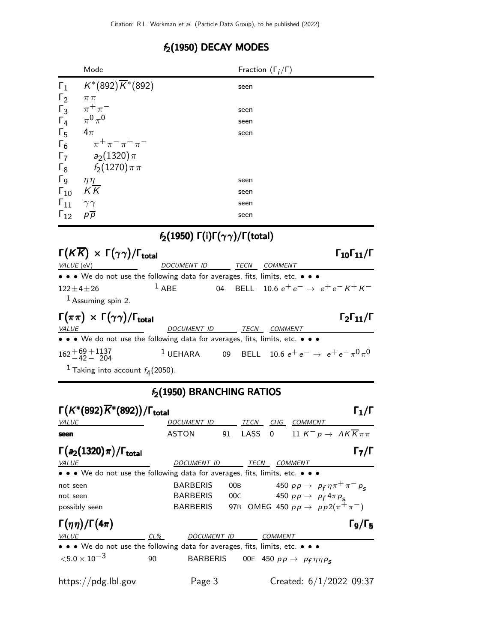## $f_2(1950)$  DECAY MODES

|                                       | Mode                                                                          |                                                                    | Fraction $(\Gamma_i/\Gamma)$ |                                                   |                                                  |
|---------------------------------------|-------------------------------------------------------------------------------|--------------------------------------------------------------------|------------------------------|---------------------------------------------------|--------------------------------------------------|
| $\Gamma_1$                            | $K^*(892)\overline{K}^*(892)$                                                 |                                                                    | seen                         |                                                   |                                                  |
| $\Gamma_2$<br>$\pi\pi$                |                                                                               |                                                                    |                              |                                                   |                                                  |
| $\Gamma_3$                            | $\pi^+\pi^-$                                                                  |                                                                    | seen                         |                                                   |                                                  |
| $\Gamma_4$                            | $\pi^0\pi^0$                                                                  |                                                                    | seen                         |                                                   |                                                  |
| $\Gamma_5$<br>$4\pi$                  |                                                                               |                                                                    | seen                         |                                                   |                                                  |
| $\Gamma_6$                            | $\pi^+ \pi^- \pi^+ \pi^-$                                                     |                                                                    |                              |                                                   |                                                  |
| $\Gamma_7$                            | a <sub>2</sub> $(1320)\pi$                                                    |                                                                    |                              |                                                   |                                                  |
| $\Gamma_8$                            | $f_2(1270)\pi\pi$                                                             |                                                                    |                              |                                                   |                                                  |
| $\Gamma$ <sub>9</sub><br>$\eta\eta^-$ |                                                                               |                                                                    | seen                         |                                                   |                                                  |
| $K\overline{K}$<br>$\Gamma_{10}$      |                                                                               |                                                                    | seen                         |                                                   |                                                  |
| $\mathsf{I}_{11}$<br>$\gamma\gamma$   |                                                                               |                                                                    | seen                         |                                                   |                                                  |
| $\Gamma_{12}$<br>$p\overline{p}$      |                                                                               |                                                                    | seen                         |                                                   |                                                  |
|                                       |                                                                               | $f_2(1950) \Gamma(i) \Gamma(\gamma \gamma) / \Gamma(\text{total})$ |                              |                                                   |                                                  |
|                                       | $\Gamma(K\overline{K}) \times \Gamma(\gamma\gamma)/\Gamma_{\rm total}$        |                                                                    |                              |                                                   | $\Gamma_{10}\Gamma_{11}/\Gamma$                  |
| VALUE (eV)                            |                                                                               | <b>DOCUMENT ID</b>                                                 | <b>TECN</b>                  | COMMENT                                           |                                                  |
|                                       | • • • We do not use the following data for averages, fits, limits, etc. • • • |                                                                    |                              |                                                   |                                                  |
| $122 \pm 4 \pm 26$                    | $1$ ABE                                                                       |                                                                    |                              |                                                   | 04 BELL 10.6 $e^+e^- \rightarrow e^+e^- K^+ K^-$ |
|                                       | $1$ Assuming spin 2.                                                          |                                                                    |                              |                                                   |                                                  |
|                                       | $\Gamma(\pi\pi) \times \Gamma(\gamma\gamma)/\Gamma_{\text{total}}$            |                                                                    |                              |                                                   | $\Gamma_2\Gamma_{11}/\Gamma$                     |
| <u>VALUE</u>                          |                                                                               | DOCUMENT ID TECN COMMENT                                           |                              |                                                   |                                                  |
|                                       | • • • We do not use the following data for averages, fits, limits, etc. • • • |                                                                    |                              |                                                   |                                                  |
| $162 + 69 + 1137$<br>$-42 - 204$      |                                                                               | $^1$ UEHARA 09                                                     |                              | BELL 10.6 $e^+e^- \rightarrow e^+e^- \pi^0 \pi^0$ |                                                  |
|                                       | <sup>1</sup> Taking into account $f_4(2050)$ .                                |                                                                    |                              |                                                   |                                                  |
|                                       |                                                                               | $f_2(1950)$ BRANCHING RATIOS                                       |                              |                                                   |                                                  |
|                                       | $\Gamma(K^*(892)\overline{K}^*(892))/\Gamma_{\rm total}$                      |                                                                    |                              |                                                   | $\Gamma_1/\Gamma$                                |
| <u>VALUE</u>                          |                                                                               | DOCUMENT ID TECN CHG COMMENT                                       |                              |                                                   |                                                  |
| seen                                  |                                                                               | <b>ASTON</b><br>91                                                 | LASS                         | 0 11 $K^- p \to AK\overline{K}\pi\pi$             |                                                  |
|                                       | $\Gamma(a_2(1320)\pi)/\Gamma_{\rm total}$                                     |                                                                    |                              |                                                   | $\Gamma_7/\Gamma$                                |
| <b>VALUE</b>                          |                                                                               | DOCUMENT ID TECN COMMENT                                           |                              |                                                   |                                                  |
|                                       | • We do not use the following data for averages, fits, limits, etc. • • •     |                                                                    |                              |                                                   |                                                  |
| not seen                              |                                                                               | <b>BARBERIS</b><br>00B                                             |                              | 450 $p p \to p_f \eta \pi^+ \pi^- p_s$            |                                                  |
| not seen                              |                                                                               | <b>BARBERIS</b>                                                    | 00C                          | 450 $pp \rightarrow p_f 4 \pi p_s$                |                                                  |
| possibly seen                         |                                                                               | BARBERIS                                                           |                              | 97B OMEG 450 $pp \to pp2(\pi^{+}\pi^{-})$         |                                                  |
| $\Gamma(\eta\eta)/\Gamma(4\pi)$       |                                                                               |                                                                    |                              |                                                   | $\Gamma$ 9/Г $_5$                                |
| <b>VALUE</b>                          | $CL\%$                                                                        | DOCUMENT ID                                                        |                              | <b>COMMENT</b>                                    |                                                  |
|                                       | • • • We do not use the following data for averages, fits, limits, etc. • • • |                                                                    |                              |                                                   |                                                  |

 $< 5.0 \times 10^{-3}$  90 BARBERIS OOE 450  $p p \rightarrow p_f \eta \eta p_S$